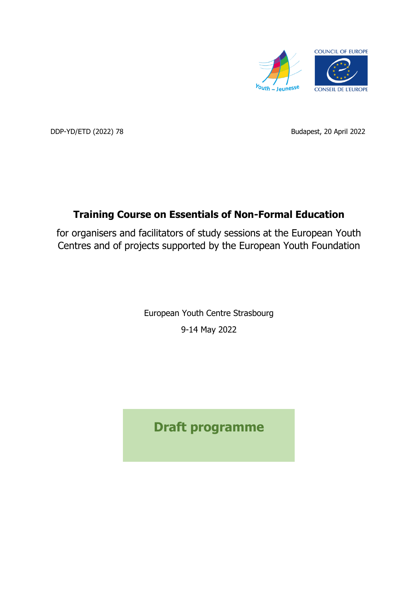

DDP-YD/ETD (2022) 78 Budapest, 20 April 2022

# **Training Course on Essentials of Non-Formal Education**

for organisers and facilitators of study sessions at the European Youth Centres and of projects supported by the European Youth Foundation

> European Youth Centre Strasbourg 9-14 May 2022

**Draft programme**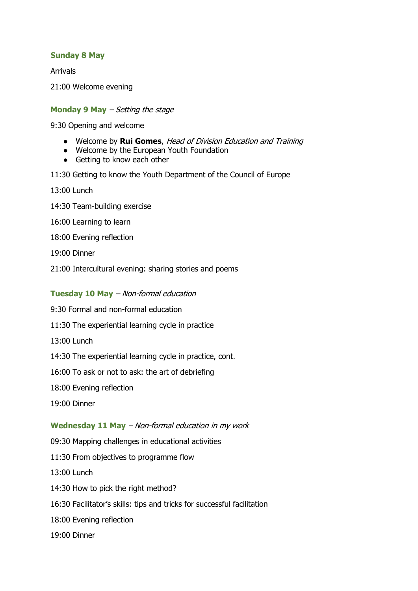## **Sunday 8 May**

Arrivals

21:00 Welcome evening

## **Monday 9 May** – Setting the stage

9:30 Opening and welcome

- Welcome by **Rui Gomes**, Head of Division Education and Training
- Welcome by the European Youth Foundation
- Getting to know each other
- 11:30 Getting to know the Youth Department of the Council of Europe
- 13:00 Lunch
- 14:30 Team-building exercise
- 16:00 Learning to learn
- 18:00 Evening reflection
- 19:00 Dinner
- 21:00 Intercultural evening: sharing stories and poems

## **Tuesday 10 May** – Non-formal education

- 9:30 Formal and non-formal education
- 11:30 The experiential learning cycle in practice
- 13:00 Lunch
- 14:30 The experiential learning cycle in practice, cont.
- 16:00 To ask or not to ask: the art of debriefing
- 18:00 Evening reflection
- 19:00 Dinner

## **Wednesday 11 May** – Non-formal education in my work

- 09:30 Mapping challenges in educational activities
- 11:30 From objectives to programme flow
- 13:00 Lunch
- 14:30 How to pick the right method?
- 16:30 Facilitator's skills: tips and tricks for successful facilitation
- 18:00 Evening reflection
- 19:00 Dinner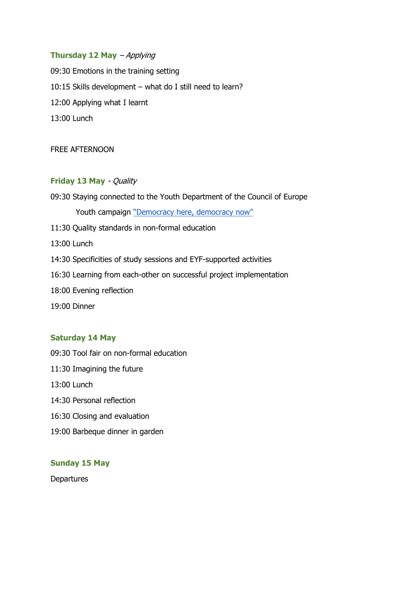## **Thursday 12 May** – Applying

09:30 Emotions in the training setting 10:15 Skills development – what do I still need to learn? 12:00 Applying what I learnt 13:00 Lunch

#### FREE AFTERNOON

## **Friday 13 May** - Quality

09:30 Staying connected to the Youth Department of the Council of Europe Youth campaign ["Democracy here, democracy now"](https://www.coe.int/en/web/democracy-here-now/home) 11:30 Quality standards in non-formal education 13:00 Lunch 14:30 Specificities of study sessions and EYF-supported activities 16:30 Learning from each-other on successful project implementation 18:00 Evening reflection 19:00 Dinner

#### **Saturday 14 May**

- 09:30 Tool fair on non-formal education
- 11:30 Imagining the future
- 13:00 Lunch
- 14:30 Personal reflection
- 16:30 Closing and evaluation
- 19:00 Barbeque dinner in garden

#### **Sunday 15 May**

**Departures**